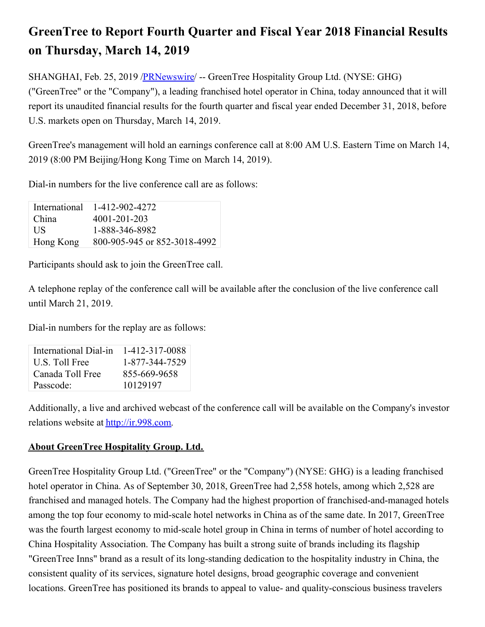## **GreenTree to Report Fourth Quarter and Fiscal Year 2018 Financial Results on Thursday, March 14, 2019**

SHANGHAI, Feb. 25, 2019 /**PRNewswire/** -- GreenTree Hospitality Group Ltd. (NYSE: GHG)

("GreenTree" or the "Company"), a leading franchised hotel operator in China, today announced that it will report its unaudited financial results for the fourth quarter and fiscal year ended December 31, 2018, before U.S. markets open on Thursday, March 14, 2019.

GreenTree's management will hold an earnings conference call at 8:00 AM U.S. Eastern Time on March 14, 2019 (8:00 PM Beijing/Hong Kong Time on March 14, 2019).

Dial-in numbers for the live conference call are as follows:

|           | International 1-412-902-4272 |
|-----------|------------------------------|
| China     | 4001-201-203                 |
| l US-     | 1-888-346-8982               |
| Hong Kong | 800-905-945 or 852-3018-4992 |

Participants should ask to join the GreenTree call.

A telephone replay of the conference call will be available after the conclusion of the live conference call until March 21, 2019.

Dial-in numbers for the replay are as follows:

| International Dial-in | 1-412-317-0088 |
|-----------------------|----------------|
| U.S. Toll Free        | 1-877-344-7529 |
| Canada Toll Free      | 855-669-9658   |
| Passcode:             | 10129197       |

Additionally, a live and archived webcast of the conference call will be available on the Company's investor relations website at [http://ir.998.com](http://ir.998.com/).

## **About GreenTree Hospitality Group. Ltd.**

GreenTree Hospitality Group Ltd. ("GreenTree" or the "Company") (NYSE: GHG) is a leading franchised hotel operator in China. As of September 30, 2018, GreenTree had 2,558 hotels, among which 2,528 are franchised and managed hotels. The Company had the highest proportion of franchised-and-managed hotels among the top four economy to mid-scale hotel networks in China as of the same date. In 2017, GreenTree was the fourth largest economy to mid-scale hotel group in China in terms of number of hotel according to China Hospitality Association. The Company has built a strong suite of brands including its flagship "GreenTree Inns" brand as a result of its long-standing dedication to the hospitality industry in China, the consistent quality of its services, signature hotel designs, broad geographic coverage and convenient locations. GreenTree has positioned its brands to appeal to value- and quality-conscious business travelers